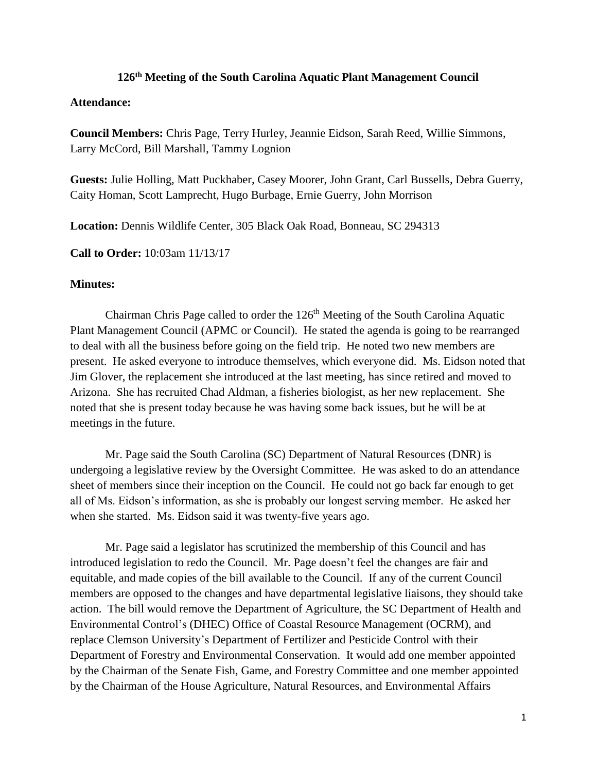## **126th Meeting of the South Carolina Aquatic Plant Management Council**

## **Attendance:**

**Council Members:** Chris Page, Terry Hurley, Jeannie Eidson, Sarah Reed, Willie Simmons, Larry McCord, Bill Marshall, Tammy Lognion

**Guests:** Julie Holling, Matt Puckhaber, Casey Moorer, John Grant, Carl Bussells, Debra Guerry, Caity Homan, Scott Lamprecht, Hugo Burbage, Ernie Guerry, John Morrison

**Location:** Dennis Wildlife Center, 305 Black Oak Road, Bonneau, SC 294313

**Call to Order:** 10:03am 11/13/17

## **Minutes:**

Chairman Chris Page called to order the  $126<sup>th</sup>$  Meeting of the South Carolina Aquatic Plant Management Council (APMC or Council). He stated the agenda is going to be rearranged to deal with all the business before going on the field trip. He noted two new members are present. He asked everyone to introduce themselves, which everyone did. Ms. Eidson noted that Jim Glover, the replacement she introduced at the last meeting, has since retired and moved to Arizona. She has recruited Chad Aldman, a fisheries biologist, as her new replacement. She noted that she is present today because he was having some back issues, but he will be at meetings in the future.

Mr. Page said the South Carolina (SC) Department of Natural Resources (DNR) is undergoing a legislative review by the Oversight Committee. He was asked to do an attendance sheet of members since their inception on the Council. He could not go back far enough to get all of Ms. Eidson's information, as she is probably our longest serving member. He asked her when she started. Ms. Eidson said it was twenty-five years ago.

Mr. Page said a legislator has scrutinized the membership of this Council and has introduced legislation to redo the Council. Mr. Page doesn't feel the changes are fair and equitable, and made copies of the bill available to the Council. If any of the current Council members are opposed to the changes and have departmental legislative liaisons, they should take action. The bill would remove the Department of Agriculture, the SC Department of Health and Environmental Control's (DHEC) Office of Coastal Resource Management (OCRM), and replace Clemson University's Department of Fertilizer and Pesticide Control with their Department of Forestry and Environmental Conservation. It would add one member appointed by the Chairman of the Senate Fish, Game, and Forestry Committee and one member appointed by the Chairman of the House Agriculture, Natural Resources, and Environmental Affairs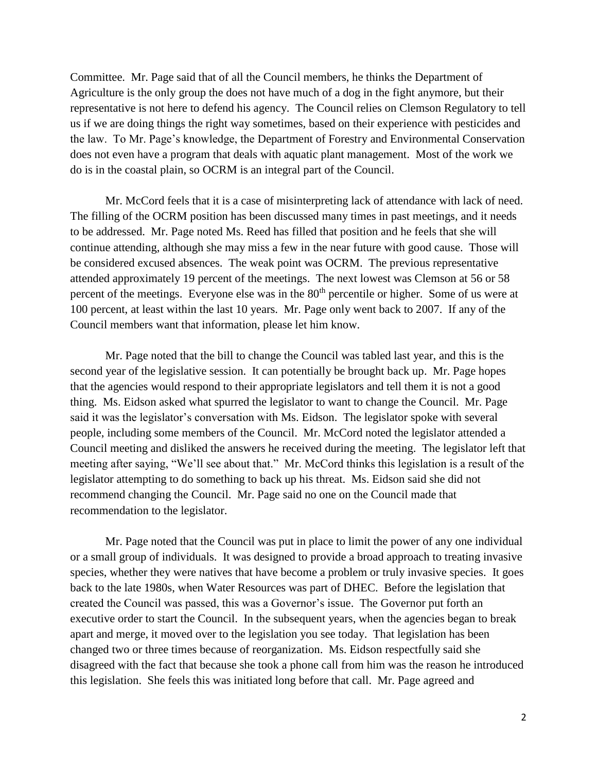Committee. Mr. Page said that of all the Council members, he thinks the Department of Agriculture is the only group the does not have much of a dog in the fight anymore, but their representative is not here to defend his agency. The Council relies on Clemson Regulatory to tell us if we are doing things the right way sometimes, based on their experience with pesticides and the law. To Mr. Page's knowledge, the Department of Forestry and Environmental Conservation does not even have a program that deals with aquatic plant management. Most of the work we do is in the coastal plain, so OCRM is an integral part of the Council.

Mr. McCord feels that it is a case of misinterpreting lack of attendance with lack of need. The filling of the OCRM position has been discussed many times in past meetings, and it needs to be addressed. Mr. Page noted Ms. Reed has filled that position and he feels that she will continue attending, although she may miss a few in the near future with good cause. Those will be considered excused absences. The weak point was OCRM. The previous representative attended approximately 19 percent of the meetings. The next lowest was Clemson at 56 or 58 percent of the meetings. Everyone else was in the 80<sup>th</sup> percentile or higher. Some of us were at 100 percent, at least within the last 10 years. Mr. Page only went back to 2007. If any of the Council members want that information, please let him know.

Mr. Page noted that the bill to change the Council was tabled last year, and this is the second year of the legislative session. It can potentially be brought back up. Mr. Page hopes that the agencies would respond to their appropriate legislators and tell them it is not a good thing. Ms. Eidson asked what spurred the legislator to want to change the Council. Mr. Page said it was the legislator's conversation with Ms. Eidson. The legislator spoke with several people, including some members of the Council. Mr. McCord noted the legislator attended a Council meeting and disliked the answers he received during the meeting. The legislator left that meeting after saying, "We'll see about that." Mr. McCord thinks this legislation is a result of the legislator attempting to do something to back up his threat. Ms. Eidson said she did not recommend changing the Council. Mr. Page said no one on the Council made that recommendation to the legislator.

Mr. Page noted that the Council was put in place to limit the power of any one individual or a small group of individuals. It was designed to provide a broad approach to treating invasive species, whether they were natives that have become a problem or truly invasive species. It goes back to the late 1980s, when Water Resources was part of DHEC. Before the legislation that created the Council was passed, this was a Governor's issue. The Governor put forth an executive order to start the Council. In the subsequent years, when the agencies began to break apart and merge, it moved over to the legislation you see today. That legislation has been changed two or three times because of reorganization. Ms. Eidson respectfully said she disagreed with the fact that because she took a phone call from him was the reason he introduced this legislation. She feels this was initiated long before that call. Mr. Page agreed and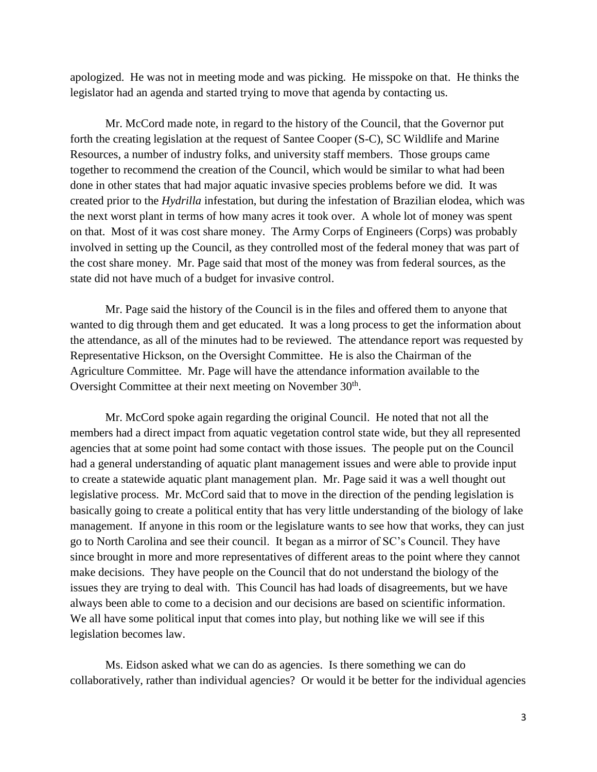apologized. He was not in meeting mode and was picking. He misspoke on that. He thinks the legislator had an agenda and started trying to move that agenda by contacting us.

Mr. McCord made note, in regard to the history of the Council, that the Governor put forth the creating legislation at the request of Santee Cooper (S-C), SC Wildlife and Marine Resources, a number of industry folks, and university staff members. Those groups came together to recommend the creation of the Council, which would be similar to what had been done in other states that had major aquatic invasive species problems before we did. It was created prior to the *Hydrilla* infestation, but during the infestation of Brazilian elodea, which was the next worst plant in terms of how many acres it took over. A whole lot of money was spent on that. Most of it was cost share money. The Army Corps of Engineers (Corps) was probably involved in setting up the Council, as they controlled most of the federal money that was part of the cost share money. Mr. Page said that most of the money was from federal sources, as the state did not have much of a budget for invasive control.

Mr. Page said the history of the Council is in the files and offered them to anyone that wanted to dig through them and get educated. It was a long process to get the information about the attendance, as all of the minutes had to be reviewed. The attendance report was requested by Representative Hickson, on the Oversight Committee. He is also the Chairman of the Agriculture Committee. Mr. Page will have the attendance information available to the Oversight Committee at their next meeting on November 30<sup>th</sup>.

Mr. McCord spoke again regarding the original Council. He noted that not all the members had a direct impact from aquatic vegetation control state wide, but they all represented agencies that at some point had some contact with those issues. The people put on the Council had a general understanding of aquatic plant management issues and were able to provide input to create a statewide aquatic plant management plan. Mr. Page said it was a well thought out legislative process. Mr. McCord said that to move in the direction of the pending legislation is basically going to create a political entity that has very little understanding of the biology of lake management. If anyone in this room or the legislature wants to see how that works, they can just go to North Carolina and see their council. It began as a mirror of SC's Council. They have since brought in more and more representatives of different areas to the point where they cannot make decisions. They have people on the Council that do not understand the biology of the issues they are trying to deal with. This Council has had loads of disagreements, but we have always been able to come to a decision and our decisions are based on scientific information. We all have some political input that comes into play, but nothing like we will see if this legislation becomes law.

Ms. Eidson asked what we can do as agencies. Is there something we can do collaboratively, rather than individual agencies? Or would it be better for the individual agencies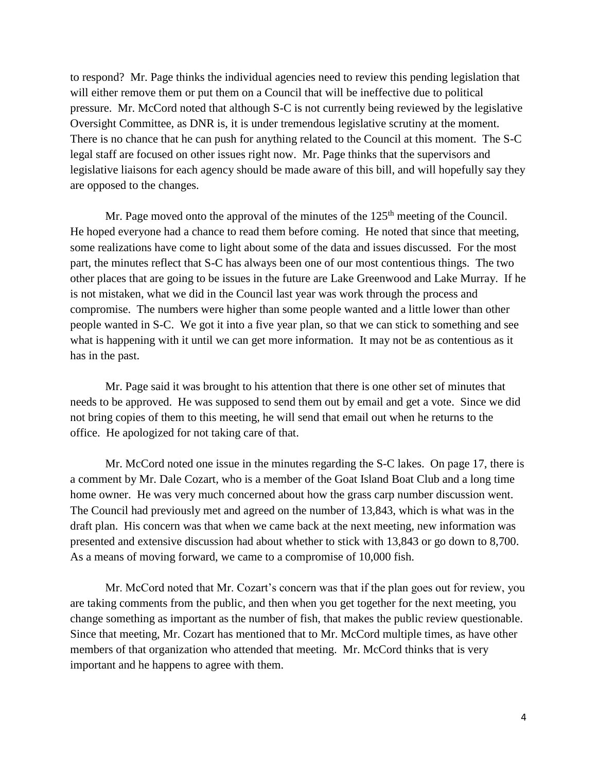to respond? Mr. Page thinks the individual agencies need to review this pending legislation that will either remove them or put them on a Council that will be ineffective due to political pressure. Mr. McCord noted that although S-C is not currently being reviewed by the legislative Oversight Committee, as DNR is, it is under tremendous legislative scrutiny at the moment. There is no chance that he can push for anything related to the Council at this moment. The S-C legal staff are focused on other issues right now. Mr. Page thinks that the supervisors and legislative liaisons for each agency should be made aware of this bill, and will hopefully say they are opposed to the changes.

Mr. Page moved onto the approval of the minutes of the  $125<sup>th</sup>$  meeting of the Council. He hoped everyone had a chance to read them before coming. He noted that since that meeting, some realizations have come to light about some of the data and issues discussed. For the most part, the minutes reflect that S-C has always been one of our most contentious things. The two other places that are going to be issues in the future are Lake Greenwood and Lake Murray. If he is not mistaken, what we did in the Council last year was work through the process and compromise. The numbers were higher than some people wanted and a little lower than other people wanted in S-C. We got it into a five year plan, so that we can stick to something and see what is happening with it until we can get more information. It may not be as contentious as it has in the past.

Mr. Page said it was brought to his attention that there is one other set of minutes that needs to be approved. He was supposed to send them out by email and get a vote. Since we did not bring copies of them to this meeting, he will send that email out when he returns to the office. He apologized for not taking care of that.

Mr. McCord noted one issue in the minutes regarding the S-C lakes. On page 17, there is a comment by Mr. Dale Cozart, who is a member of the Goat Island Boat Club and a long time home owner. He was very much concerned about how the grass carp number discussion went. The Council had previously met and agreed on the number of 13,843, which is what was in the draft plan. His concern was that when we came back at the next meeting, new information was presented and extensive discussion had about whether to stick with 13,843 or go down to 8,700. As a means of moving forward, we came to a compromise of 10,000 fish.

Mr. McCord noted that Mr. Cozart's concern was that if the plan goes out for review, you are taking comments from the public, and then when you get together for the next meeting, you change something as important as the number of fish, that makes the public review questionable. Since that meeting, Mr. Cozart has mentioned that to Mr. McCord multiple times, as have other members of that organization who attended that meeting. Mr. McCord thinks that is very important and he happens to agree with them.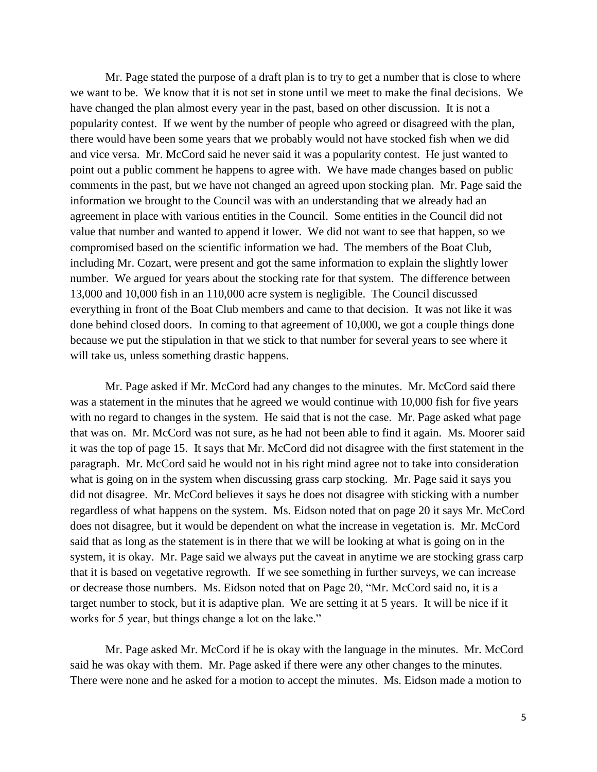Mr. Page stated the purpose of a draft plan is to try to get a number that is close to where we want to be. We know that it is not set in stone until we meet to make the final decisions. We have changed the plan almost every year in the past, based on other discussion. It is not a popularity contest. If we went by the number of people who agreed or disagreed with the plan, there would have been some years that we probably would not have stocked fish when we did and vice versa. Mr. McCord said he never said it was a popularity contest. He just wanted to point out a public comment he happens to agree with. We have made changes based on public comments in the past, but we have not changed an agreed upon stocking plan. Mr. Page said the information we brought to the Council was with an understanding that we already had an agreement in place with various entities in the Council. Some entities in the Council did not value that number and wanted to append it lower. We did not want to see that happen, so we compromised based on the scientific information we had. The members of the Boat Club, including Mr. Cozart, were present and got the same information to explain the slightly lower number. We argued for years about the stocking rate for that system. The difference between 13,000 and 10,000 fish in an 110,000 acre system is negligible. The Council discussed everything in front of the Boat Club members and came to that decision. It was not like it was done behind closed doors. In coming to that agreement of 10,000, we got a couple things done because we put the stipulation in that we stick to that number for several years to see where it will take us, unless something drastic happens.

Mr. Page asked if Mr. McCord had any changes to the minutes. Mr. McCord said there was a statement in the minutes that he agreed we would continue with 10,000 fish for five years with no regard to changes in the system. He said that is not the case. Mr. Page asked what page that was on. Mr. McCord was not sure, as he had not been able to find it again. Ms. Moorer said it was the top of page 15. It says that Mr. McCord did not disagree with the first statement in the paragraph. Mr. McCord said he would not in his right mind agree not to take into consideration what is going on in the system when discussing grass carp stocking. Mr. Page said it says you did not disagree. Mr. McCord believes it says he does not disagree with sticking with a number regardless of what happens on the system. Ms. Eidson noted that on page 20 it says Mr. McCord does not disagree, but it would be dependent on what the increase in vegetation is. Mr. McCord said that as long as the statement is in there that we will be looking at what is going on in the system, it is okay. Mr. Page said we always put the caveat in anytime we are stocking grass carp that it is based on vegetative regrowth. If we see something in further surveys, we can increase or decrease those numbers. Ms. Eidson noted that on Page 20, "Mr. McCord said no, it is a target number to stock, but it is adaptive plan. We are setting it at 5 years. It will be nice if it works for 5 year, but things change a lot on the lake."

Mr. Page asked Mr. McCord if he is okay with the language in the minutes. Mr. McCord said he was okay with them. Mr. Page asked if there were any other changes to the minutes. There were none and he asked for a motion to accept the minutes. Ms. Eidson made a motion to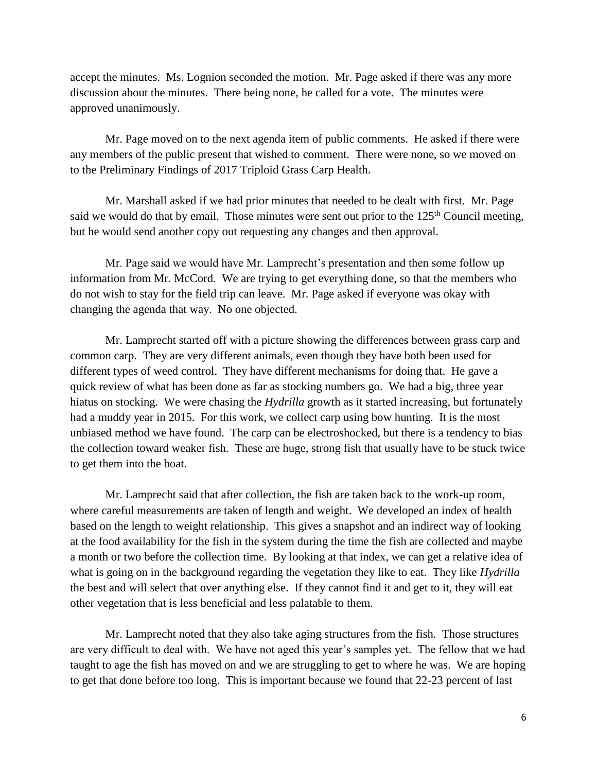accept the minutes. Ms. Lognion seconded the motion. Mr. Page asked if there was any more discussion about the minutes. There being none, he called for a vote. The minutes were approved unanimously.

Mr. Page moved on to the next agenda item of public comments. He asked if there were any members of the public present that wished to comment. There were none, so we moved on to the Preliminary Findings of 2017 Triploid Grass Carp Health.

Mr. Marshall asked if we had prior minutes that needed to be dealt with first. Mr. Page said we would do that by email. Those minutes were sent out prior to the  $125<sup>th</sup>$  Council meeting, but he would send another copy out requesting any changes and then approval.

Mr. Page said we would have Mr. Lamprecht's presentation and then some follow up information from Mr. McCord. We are trying to get everything done, so that the members who do not wish to stay for the field trip can leave. Mr. Page asked if everyone was okay with changing the agenda that way. No one objected.

Mr. Lamprecht started off with a picture showing the differences between grass carp and common carp. They are very different animals, even though they have both been used for different types of weed control. They have different mechanisms for doing that. He gave a quick review of what has been done as far as stocking numbers go. We had a big, three year hiatus on stocking. We were chasing the *Hydrilla* growth as it started increasing, but fortunately had a muddy year in 2015. For this work, we collect carp using bow hunting. It is the most unbiased method we have found. The carp can be electroshocked, but there is a tendency to bias the collection toward weaker fish. These are huge, strong fish that usually have to be stuck twice to get them into the boat.

Mr. Lamprecht said that after collection, the fish are taken back to the work-up room, where careful measurements are taken of length and weight. We developed an index of health based on the length to weight relationship. This gives a snapshot and an indirect way of looking at the food availability for the fish in the system during the time the fish are collected and maybe a month or two before the collection time. By looking at that index, we can get a relative idea of what is going on in the background regarding the vegetation they like to eat. They like *Hydrilla* the best and will select that over anything else. If they cannot find it and get to it, they will eat other vegetation that is less beneficial and less palatable to them.

Mr. Lamprecht noted that they also take aging structures from the fish. Those structures are very difficult to deal with. We have not aged this year's samples yet. The fellow that we had taught to age the fish has moved on and we are struggling to get to where he was. We are hoping to get that done before too long. This is important because we found that 22-23 percent of last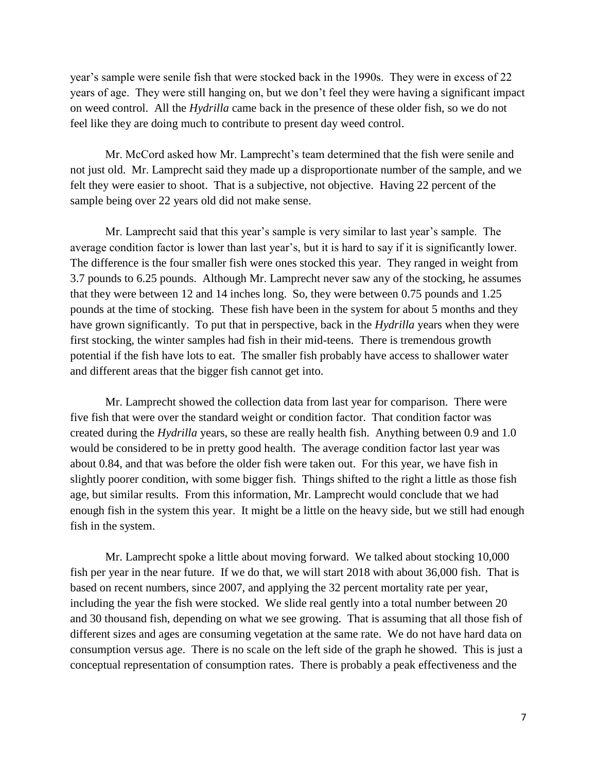year's sample were senile fish that were stocked back in the 1990s. They were in excess of 22 years of age. They were still hanging on, but we don't feel they were having a significant impact on weed control. All the *Hydrilla* came back in the presence of these older fish, so we do not feel like they are doing much to contribute to present day weed control.

Mr. McCord asked how Mr. Lamprecht's team determined that the fish were senile and not just old. Mr. Lamprecht said they made up a disproportionate number of the sample, and we felt they were easier to shoot. That is a subjective, not objective. Having 22 percent of the sample being over 22 years old did not make sense.

Mr. Lamprecht said that this year's sample is very similar to last year's sample. The average condition factor is lower than last year's, but it is hard to say if it is significantly lower. The difference is the four smaller fish were ones stocked this year. They ranged in weight from 3.7 pounds to 6.25 pounds. Although Mr. Lamprecht never saw any of the stocking, he assumes that they were between 12 and 14 inches long. So, they were between 0.75 pounds and 1.25 pounds at the time of stocking. These fish have been in the system for about 5 months and they have grown significantly. To put that in perspective, back in the *Hydrilla* years when they were first stocking, the winter samples had fish in their mid-teens. There is tremendous growth potential if the fish have lots to eat. The smaller fish probably have access to shallower water and different areas that the bigger fish cannot get into.

Mr. Lamprecht showed the collection data from last year for comparison. There were five fish that were over the standard weight or condition factor. That condition factor was created during the *Hydrilla* years, so these are really health fish. Anything between 0.9 and 1.0 would be considered to be in pretty good health. The average condition factor last year was about 0.84, and that was before the older fish were taken out. For this year, we have fish in slightly poorer condition, with some bigger fish. Things shifted to the right a little as those fish age, but similar results. From this information, Mr. Lamprecht would conclude that we had enough fish in the system this year. It might be a little on the heavy side, but we still had enough fish in the system.

Mr. Lamprecht spoke a little about moving forward. We talked about stocking 10,000 fish per year in the near future. If we do that, we will start 2018 with about 36,000 fish. That is based on recent numbers, since 2007, and applying the 32 percent mortality rate per year, including the year the fish were stocked. We slide real gently into a total number between 20 and 30 thousand fish, depending on what we see growing. That is assuming that all those fish of different sizes and ages are consuming vegetation at the same rate. We do not have hard data on consumption versus age. There is no scale on the left side of the graph he showed. This is just a conceptual representation of consumption rates. There is probably a peak effectiveness and the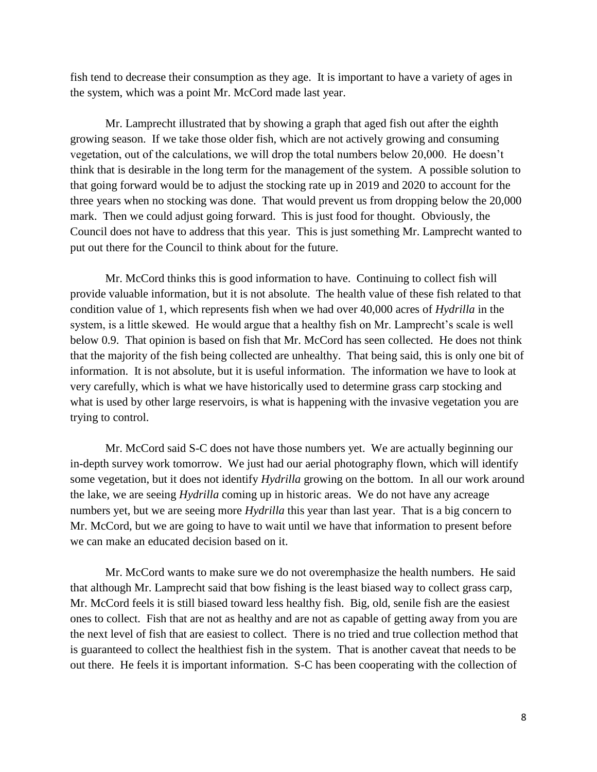fish tend to decrease their consumption as they age. It is important to have a variety of ages in the system, which was a point Mr. McCord made last year.

Mr. Lamprecht illustrated that by showing a graph that aged fish out after the eighth growing season. If we take those older fish, which are not actively growing and consuming vegetation, out of the calculations, we will drop the total numbers below 20,000. He doesn't think that is desirable in the long term for the management of the system. A possible solution to that going forward would be to adjust the stocking rate up in 2019 and 2020 to account for the three years when no stocking was done. That would prevent us from dropping below the 20,000 mark. Then we could adjust going forward. This is just food for thought. Obviously, the Council does not have to address that this year. This is just something Mr. Lamprecht wanted to put out there for the Council to think about for the future.

Mr. McCord thinks this is good information to have. Continuing to collect fish will provide valuable information, but it is not absolute. The health value of these fish related to that condition value of 1, which represents fish when we had over 40,000 acres of *Hydrilla* in the system, is a little skewed. He would argue that a healthy fish on Mr. Lamprecht's scale is well below 0.9. That opinion is based on fish that Mr. McCord has seen collected. He does not think that the majority of the fish being collected are unhealthy. That being said, this is only one bit of information. It is not absolute, but it is useful information. The information we have to look at very carefully, which is what we have historically used to determine grass carp stocking and what is used by other large reservoirs, is what is happening with the invasive vegetation you are trying to control.

Mr. McCord said S-C does not have those numbers yet. We are actually beginning our in-depth survey work tomorrow. We just had our aerial photography flown, which will identify some vegetation, but it does not identify *Hydrilla* growing on the bottom. In all our work around the lake, we are seeing *Hydrilla* coming up in historic areas. We do not have any acreage numbers yet, but we are seeing more *Hydrilla* this year than last year. That is a big concern to Mr. McCord, but we are going to have to wait until we have that information to present before we can make an educated decision based on it.

Mr. McCord wants to make sure we do not overemphasize the health numbers. He said that although Mr. Lamprecht said that bow fishing is the least biased way to collect grass carp, Mr. McCord feels it is still biased toward less healthy fish. Big, old, senile fish are the easiest ones to collect. Fish that are not as healthy and are not as capable of getting away from you are the next level of fish that are easiest to collect. There is no tried and true collection method that is guaranteed to collect the healthiest fish in the system. That is another caveat that needs to be out there. He feels it is important information. S-C has been cooperating with the collection of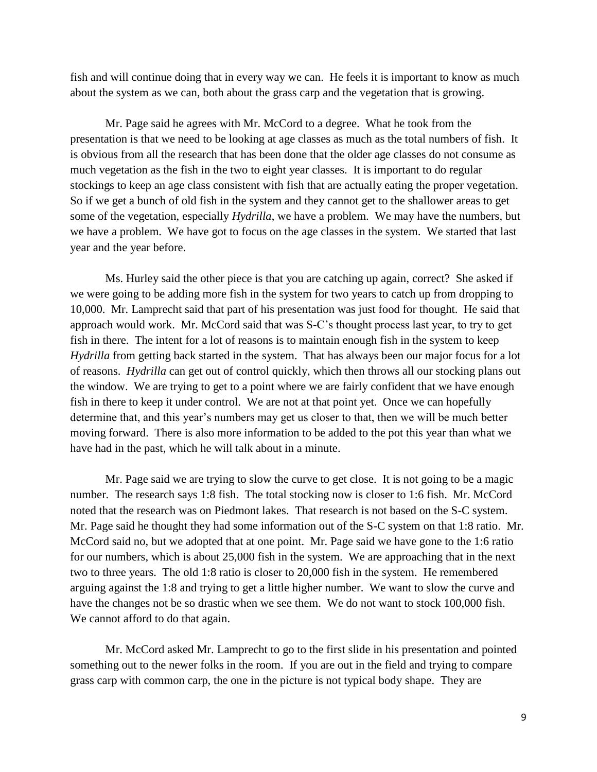fish and will continue doing that in every way we can. He feels it is important to know as much about the system as we can, both about the grass carp and the vegetation that is growing.

Mr. Page said he agrees with Mr. McCord to a degree. What he took from the presentation is that we need to be looking at age classes as much as the total numbers of fish. It is obvious from all the research that has been done that the older age classes do not consume as much vegetation as the fish in the two to eight year classes. It is important to do regular stockings to keep an age class consistent with fish that are actually eating the proper vegetation. So if we get a bunch of old fish in the system and they cannot get to the shallower areas to get some of the vegetation, especially *Hydrilla*, we have a problem. We may have the numbers, but we have a problem. We have got to focus on the age classes in the system. We started that last year and the year before.

Ms. Hurley said the other piece is that you are catching up again, correct? She asked if we were going to be adding more fish in the system for two years to catch up from dropping to 10,000. Mr. Lamprecht said that part of his presentation was just food for thought. He said that approach would work. Mr. McCord said that was S-C's thought process last year, to try to get fish in there. The intent for a lot of reasons is to maintain enough fish in the system to keep *Hydrilla* from getting back started in the system. That has always been our major focus for a lot of reasons. *Hydrilla* can get out of control quickly, which then throws all our stocking plans out the window. We are trying to get to a point where we are fairly confident that we have enough fish in there to keep it under control. We are not at that point yet. Once we can hopefully determine that, and this year's numbers may get us closer to that, then we will be much better moving forward. There is also more information to be added to the pot this year than what we have had in the past, which he will talk about in a minute.

Mr. Page said we are trying to slow the curve to get close. It is not going to be a magic number. The research says 1:8 fish. The total stocking now is closer to 1:6 fish. Mr. McCord noted that the research was on Piedmont lakes. That research is not based on the S-C system. Mr. Page said he thought they had some information out of the S-C system on that 1:8 ratio. Mr. McCord said no, but we adopted that at one point. Mr. Page said we have gone to the 1:6 ratio for our numbers, which is about 25,000 fish in the system. We are approaching that in the next two to three years. The old 1:8 ratio is closer to 20,000 fish in the system. He remembered arguing against the 1:8 and trying to get a little higher number. We want to slow the curve and have the changes not be so drastic when we see them. We do not want to stock 100,000 fish. We cannot afford to do that again.

Mr. McCord asked Mr. Lamprecht to go to the first slide in his presentation and pointed something out to the newer folks in the room. If you are out in the field and trying to compare grass carp with common carp, the one in the picture is not typical body shape. They are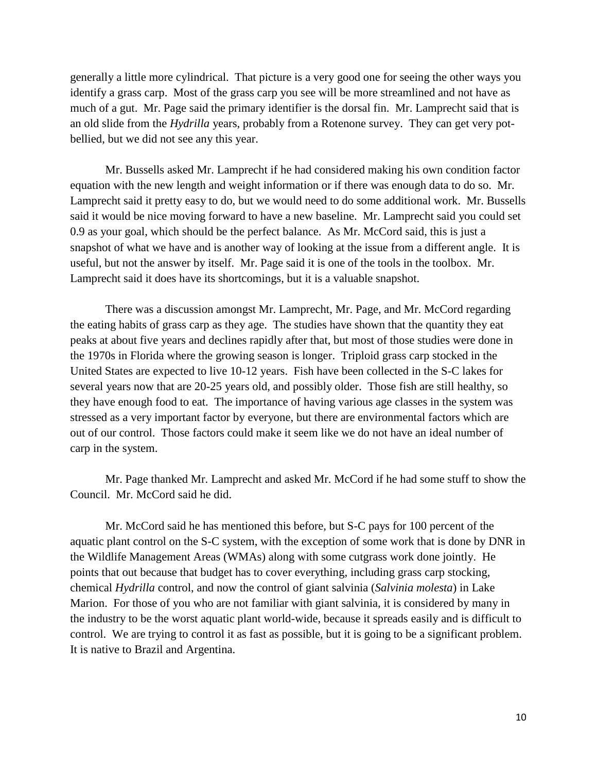generally a little more cylindrical. That picture is a very good one for seeing the other ways you identify a grass carp. Most of the grass carp you see will be more streamlined and not have as much of a gut. Mr. Page said the primary identifier is the dorsal fin. Mr. Lamprecht said that is an old slide from the *Hydrilla* years, probably from a Rotenone survey. They can get very potbellied, but we did not see any this year.

Mr. Bussells asked Mr. Lamprecht if he had considered making his own condition factor equation with the new length and weight information or if there was enough data to do so. Mr. Lamprecht said it pretty easy to do, but we would need to do some additional work. Mr. Bussells said it would be nice moving forward to have a new baseline. Mr. Lamprecht said you could set 0.9 as your goal, which should be the perfect balance. As Mr. McCord said, this is just a snapshot of what we have and is another way of looking at the issue from a different angle. It is useful, but not the answer by itself. Mr. Page said it is one of the tools in the toolbox. Mr. Lamprecht said it does have its shortcomings, but it is a valuable snapshot.

There was a discussion amongst Mr. Lamprecht, Mr. Page, and Mr. McCord regarding the eating habits of grass carp as they age. The studies have shown that the quantity they eat peaks at about five years and declines rapidly after that, but most of those studies were done in the 1970s in Florida where the growing season is longer. Triploid grass carp stocked in the United States are expected to live 10-12 years. Fish have been collected in the S-C lakes for several years now that are 20-25 years old, and possibly older. Those fish are still healthy, so they have enough food to eat. The importance of having various age classes in the system was stressed as a very important factor by everyone, but there are environmental factors which are out of our control. Those factors could make it seem like we do not have an ideal number of carp in the system.

Mr. Page thanked Mr. Lamprecht and asked Mr. McCord if he had some stuff to show the Council. Mr. McCord said he did.

Mr. McCord said he has mentioned this before, but S-C pays for 100 percent of the aquatic plant control on the S-C system, with the exception of some work that is done by DNR in the Wildlife Management Areas (WMAs) along with some cutgrass work done jointly. He points that out because that budget has to cover everything, including grass carp stocking, chemical *Hydrilla* control, and now the control of giant salvinia (*Salvinia molesta*) in Lake Marion. For those of you who are not familiar with giant salvinia, it is considered by many in the industry to be the worst aquatic plant world-wide, because it spreads easily and is difficult to control. We are trying to control it as fast as possible, but it is going to be a significant problem. It is native to Brazil and Argentina.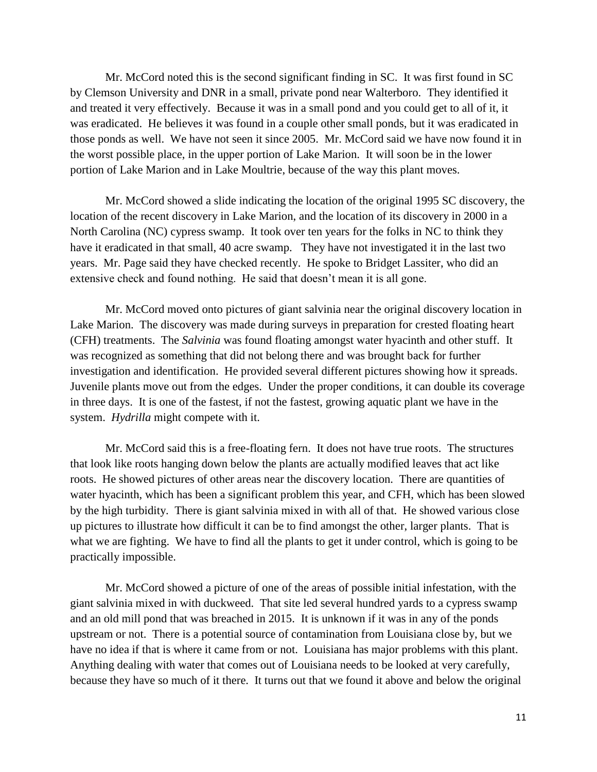Mr. McCord noted this is the second significant finding in SC. It was first found in SC by Clemson University and DNR in a small, private pond near Walterboro. They identified it and treated it very effectively. Because it was in a small pond and you could get to all of it, it was eradicated. He believes it was found in a couple other small ponds, but it was eradicated in those ponds as well. We have not seen it since 2005. Mr. McCord said we have now found it in the worst possible place, in the upper portion of Lake Marion. It will soon be in the lower portion of Lake Marion and in Lake Moultrie, because of the way this plant moves.

Mr. McCord showed a slide indicating the location of the original 1995 SC discovery, the location of the recent discovery in Lake Marion, and the location of its discovery in 2000 in a North Carolina (NC) cypress swamp. It took over ten years for the folks in NC to think they have it eradicated in that small, 40 acre swamp. They have not investigated it in the last two years. Mr. Page said they have checked recently. He spoke to Bridget Lassiter, who did an extensive check and found nothing. He said that doesn't mean it is all gone.

Mr. McCord moved onto pictures of giant salvinia near the original discovery location in Lake Marion. The discovery was made during surveys in preparation for crested floating heart (CFH) treatments. The *Salvinia* was found floating amongst water hyacinth and other stuff. It was recognized as something that did not belong there and was brought back for further investigation and identification. He provided several different pictures showing how it spreads. Juvenile plants move out from the edges. Under the proper conditions, it can double its coverage in three days. It is one of the fastest, if not the fastest, growing aquatic plant we have in the system. *Hydrilla* might compete with it.

Mr. McCord said this is a free-floating fern. It does not have true roots. The structures that look like roots hanging down below the plants are actually modified leaves that act like roots. He showed pictures of other areas near the discovery location. There are quantities of water hyacinth, which has been a significant problem this year, and CFH, which has been slowed by the high turbidity. There is giant salvinia mixed in with all of that. He showed various close up pictures to illustrate how difficult it can be to find amongst the other, larger plants. That is what we are fighting. We have to find all the plants to get it under control, which is going to be practically impossible.

Mr. McCord showed a picture of one of the areas of possible initial infestation, with the giant salvinia mixed in with duckweed. That site led several hundred yards to a cypress swamp and an old mill pond that was breached in 2015. It is unknown if it was in any of the ponds upstream or not. There is a potential source of contamination from Louisiana close by, but we have no idea if that is where it came from or not. Louisiana has major problems with this plant. Anything dealing with water that comes out of Louisiana needs to be looked at very carefully, because they have so much of it there. It turns out that we found it above and below the original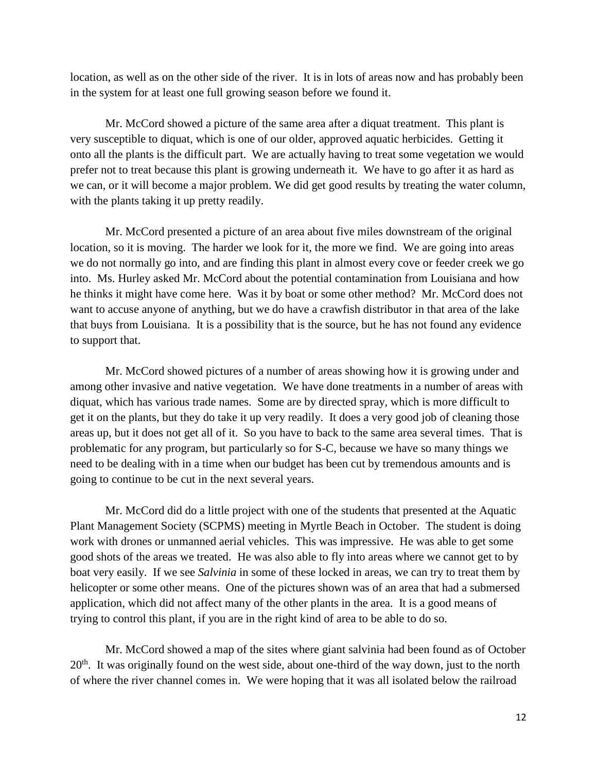location, as well as on the other side of the river. It is in lots of areas now and has probably been in the system for at least one full growing season before we found it.

Mr. McCord showed a picture of the same area after a diquat treatment. This plant is very susceptible to diquat, which is one of our older, approved aquatic herbicides. Getting it onto all the plants is the difficult part. We are actually having to treat some vegetation we would prefer not to treat because this plant is growing underneath it. We have to go after it as hard as we can, or it will become a major problem. We did get good results by treating the water column, with the plants taking it up pretty readily.

Mr. McCord presented a picture of an area about five miles downstream of the original location, so it is moving. The harder we look for it, the more we find. We are going into areas we do not normally go into, and are finding this plant in almost every cove or feeder creek we go into. Ms. Hurley asked Mr. McCord about the potential contamination from Louisiana and how he thinks it might have come here. Was it by boat or some other method? Mr. McCord does not want to accuse anyone of anything, but we do have a crawfish distributor in that area of the lake that buys from Louisiana. It is a possibility that is the source, but he has not found any evidence to support that.

Mr. McCord showed pictures of a number of areas showing how it is growing under and among other invasive and native vegetation. We have done treatments in a number of areas with diquat, which has various trade names. Some are by directed spray, which is more difficult to get it on the plants, but they do take it up very readily. It does a very good job of cleaning those areas up, but it does not get all of it. So you have to back to the same area several times. That is problematic for any program, but particularly so for S-C, because we have so many things we need to be dealing with in a time when our budget has been cut by tremendous amounts and is going to continue to be cut in the next several years.

Mr. McCord did do a little project with one of the students that presented at the Aquatic Plant Management Society (SCPMS) meeting in Myrtle Beach in October. The student is doing work with drones or unmanned aerial vehicles. This was impressive. He was able to get some good shots of the areas we treated. He was also able to fly into areas where we cannot get to by boat very easily. If we see *Salvinia* in some of these locked in areas, we can try to treat them by helicopter or some other means. One of the pictures shown was of an area that had a submersed application, which did not affect many of the other plants in the area. It is a good means of trying to control this plant, if you are in the right kind of area to be able to do so.

Mr. McCord showed a map of the sites where giant salvinia had been found as of October  $20<sup>th</sup>$ . It was originally found on the west side, about one-third of the way down, just to the north of where the river channel comes in. We were hoping that it was all isolated below the railroad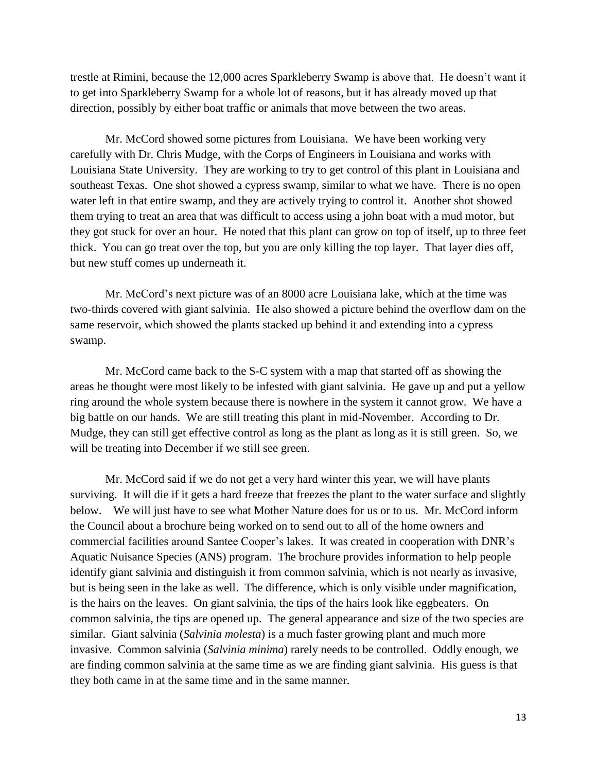trestle at Rimini, because the 12,000 acres Sparkleberry Swamp is above that. He doesn't want it to get into Sparkleberry Swamp for a whole lot of reasons, but it has already moved up that direction, possibly by either boat traffic or animals that move between the two areas.

Mr. McCord showed some pictures from Louisiana. We have been working very carefully with Dr. Chris Mudge, with the Corps of Engineers in Louisiana and works with Louisiana State University. They are working to try to get control of this plant in Louisiana and southeast Texas. One shot showed a cypress swamp, similar to what we have. There is no open water left in that entire swamp, and they are actively trying to control it. Another shot showed them trying to treat an area that was difficult to access using a john boat with a mud motor, but they got stuck for over an hour. He noted that this plant can grow on top of itself, up to three feet thick. You can go treat over the top, but you are only killing the top layer. That layer dies off, but new stuff comes up underneath it.

Mr. McCord's next picture was of an 8000 acre Louisiana lake, which at the time was two-thirds covered with giant salvinia. He also showed a picture behind the overflow dam on the same reservoir, which showed the plants stacked up behind it and extending into a cypress swamp.

Mr. McCord came back to the S-C system with a map that started off as showing the areas he thought were most likely to be infested with giant salvinia. He gave up and put a yellow ring around the whole system because there is nowhere in the system it cannot grow. We have a big battle on our hands. We are still treating this plant in mid-November. According to Dr. Mudge, they can still get effective control as long as the plant as long as it is still green. So, we will be treating into December if we still see green.

Mr. McCord said if we do not get a very hard winter this year, we will have plants surviving. It will die if it gets a hard freeze that freezes the plant to the water surface and slightly below. We will just have to see what Mother Nature does for us or to us. Mr. McCord inform the Council about a brochure being worked on to send out to all of the home owners and commercial facilities around Santee Cooper's lakes. It was created in cooperation with DNR's Aquatic Nuisance Species (ANS) program. The brochure provides information to help people identify giant salvinia and distinguish it from common salvinia, which is not nearly as invasive, but is being seen in the lake as well. The difference, which is only visible under magnification, is the hairs on the leaves. On giant salvinia, the tips of the hairs look like eggbeaters. On common salvinia, the tips are opened up. The general appearance and size of the two species are similar. Giant salvinia (*Salvinia molesta*) is a much faster growing plant and much more invasive. Common salvinia (*Salvinia minima*) rarely needs to be controlled. Oddly enough, we are finding common salvinia at the same time as we are finding giant salvinia. His guess is that they both came in at the same time and in the same manner.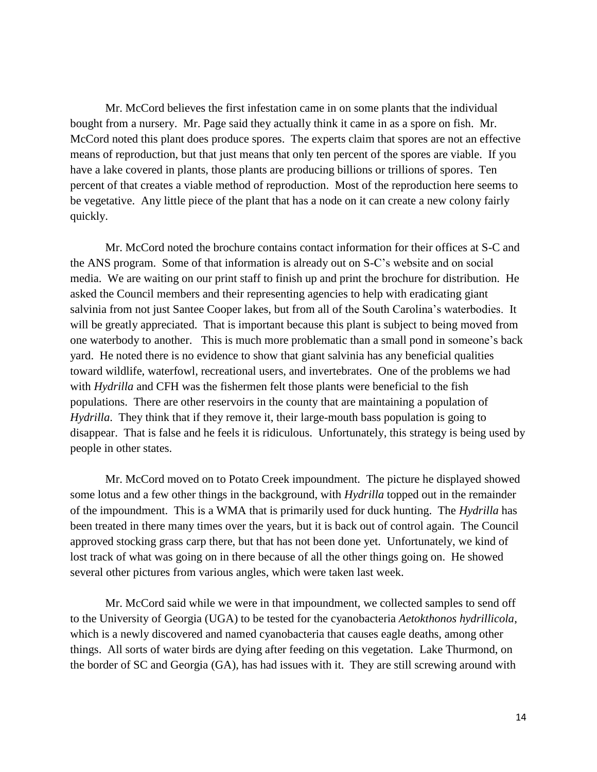Mr. McCord believes the first infestation came in on some plants that the individual bought from a nursery. Mr. Page said they actually think it came in as a spore on fish. Mr. McCord noted this plant does produce spores. The experts claim that spores are not an effective means of reproduction, but that just means that only ten percent of the spores are viable. If you have a lake covered in plants, those plants are producing billions or trillions of spores. Ten percent of that creates a viable method of reproduction. Most of the reproduction here seems to be vegetative. Any little piece of the plant that has a node on it can create a new colony fairly quickly.

Mr. McCord noted the brochure contains contact information for their offices at S-C and the ANS program. Some of that information is already out on S-C's website and on social media. We are waiting on our print staff to finish up and print the brochure for distribution. He asked the Council members and their representing agencies to help with eradicating giant salvinia from not just Santee Cooper lakes, but from all of the South Carolina's waterbodies. It will be greatly appreciated. That is important because this plant is subject to being moved from one waterbody to another. This is much more problematic than a small pond in someone's back yard. He noted there is no evidence to show that giant salvinia has any beneficial qualities toward wildlife, waterfowl, recreational users, and invertebrates. One of the problems we had with *Hydrilla* and CFH was the fishermen felt those plants were beneficial to the fish populations. There are other reservoirs in the county that are maintaining a population of *Hydrilla*. They think that if they remove it, their large-mouth bass population is going to disappear. That is false and he feels it is ridiculous. Unfortunately, this strategy is being used by people in other states.

Mr. McCord moved on to Potato Creek impoundment. The picture he displayed showed some lotus and a few other things in the background, with *Hydrilla* topped out in the remainder of the impoundment. This is a WMA that is primarily used for duck hunting. The *Hydrilla* has been treated in there many times over the years, but it is back out of control again. The Council approved stocking grass carp there, but that has not been done yet. Unfortunately, we kind of lost track of what was going on in there because of all the other things going on. He showed several other pictures from various angles, which were taken last week.

Mr. McCord said while we were in that impoundment, we collected samples to send off to the University of Georgia (UGA) to be tested for the cyanobacteria *Aetokthonos hydrillicola*, which is a newly discovered and named cyanobacteria that causes eagle deaths, among other things. All sorts of water birds are dying after feeding on this vegetation. Lake Thurmond, on the border of SC and Georgia (GA), has had issues with it. They are still screwing around with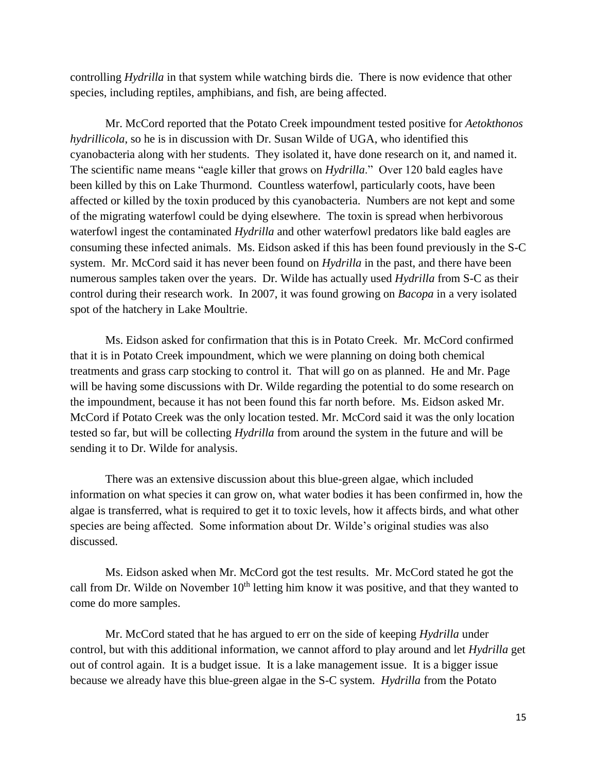controlling *Hydrilla* in that system while watching birds die. There is now evidence that other species, including reptiles, amphibians, and fish, are being affected.

Mr. McCord reported that the Potato Creek impoundment tested positive for *Aetokthonos hydrillicola*, so he is in discussion with Dr. Susan Wilde of UGA, who identified this cyanobacteria along with her students. They isolated it, have done research on it, and named it. The scientific name means "eagle killer that grows on *Hydrilla*." Over 120 bald eagles have been killed by this on Lake Thurmond. Countless waterfowl, particularly coots, have been affected or killed by the toxin produced by this cyanobacteria. Numbers are not kept and some of the migrating waterfowl could be dying elsewhere. The toxin is spread when herbivorous waterfowl ingest the contaminated *Hydrilla* and other waterfowl predators like bald eagles are consuming these infected animals. Ms. Eidson asked if this has been found previously in the S-C system. Mr. McCord said it has never been found on *Hydrilla* in the past, and there have been numerous samples taken over the years. Dr. Wilde has actually used *Hydrilla* from S-C as their control during their research work. In 2007, it was found growing on *Bacopa* in a very isolated spot of the hatchery in Lake Moultrie.

Ms. Eidson asked for confirmation that this is in Potato Creek. Mr. McCord confirmed that it is in Potato Creek impoundment, which we were planning on doing both chemical treatments and grass carp stocking to control it. That will go on as planned. He and Mr. Page will be having some discussions with Dr. Wilde regarding the potential to do some research on the impoundment, because it has not been found this far north before. Ms. Eidson asked Mr. McCord if Potato Creek was the only location tested. Mr. McCord said it was the only location tested so far, but will be collecting *Hydrilla* from around the system in the future and will be sending it to Dr. Wilde for analysis.

There was an extensive discussion about this blue-green algae, which included information on what species it can grow on, what water bodies it has been confirmed in, how the algae is transferred, what is required to get it to toxic levels, how it affects birds, and what other species are being affected. Some information about Dr. Wilde's original studies was also discussed.

Ms. Eidson asked when Mr. McCord got the test results. Mr. McCord stated he got the call from Dr. Wilde on November  $10<sup>th</sup>$  letting him know it was positive, and that they wanted to come do more samples.

Mr. McCord stated that he has argued to err on the side of keeping *Hydrilla* under control, but with this additional information, we cannot afford to play around and let *Hydrilla* get out of control again. It is a budget issue. It is a lake management issue. It is a bigger issue because we already have this blue-green algae in the S-C system. *Hydrilla* from the Potato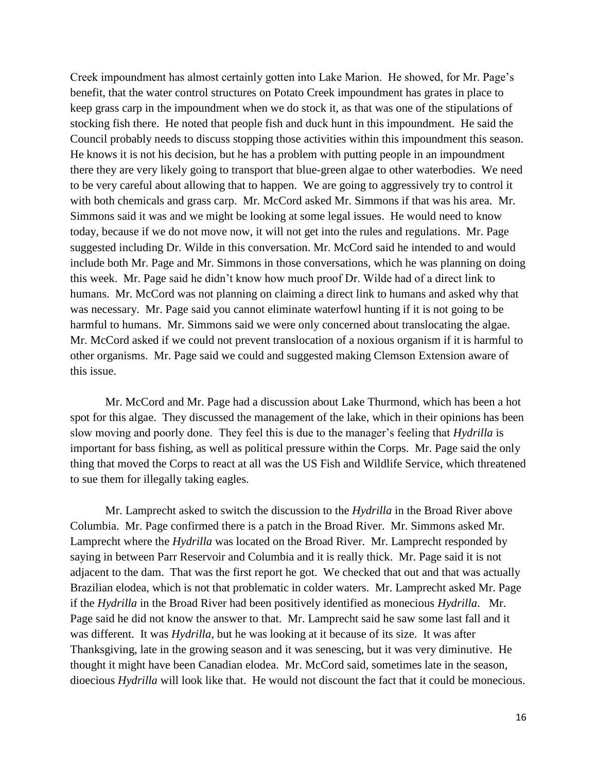Creek impoundment has almost certainly gotten into Lake Marion. He showed, for Mr. Page's benefit, that the water control structures on Potato Creek impoundment has grates in place to keep grass carp in the impoundment when we do stock it, as that was one of the stipulations of stocking fish there. He noted that people fish and duck hunt in this impoundment. He said the Council probably needs to discuss stopping those activities within this impoundment this season. He knows it is not his decision, but he has a problem with putting people in an impoundment there they are very likely going to transport that blue-green algae to other waterbodies. We need to be very careful about allowing that to happen. We are going to aggressively try to control it with both chemicals and grass carp. Mr. McCord asked Mr. Simmons if that was his area. Mr. Simmons said it was and we might be looking at some legal issues. He would need to know today, because if we do not move now, it will not get into the rules and regulations. Mr. Page suggested including Dr. Wilde in this conversation. Mr. McCord said he intended to and would include both Mr. Page and Mr. Simmons in those conversations, which he was planning on doing this week. Mr. Page said he didn't know how much proof Dr. Wilde had of a direct link to humans. Mr. McCord was not planning on claiming a direct link to humans and asked why that was necessary. Mr. Page said you cannot eliminate waterfowl hunting if it is not going to be harmful to humans. Mr. Simmons said we were only concerned about translocating the algae. Mr. McCord asked if we could not prevent translocation of a noxious organism if it is harmful to other organisms. Mr. Page said we could and suggested making Clemson Extension aware of this issue.

Mr. McCord and Mr. Page had a discussion about Lake Thurmond, which has been a hot spot for this algae. They discussed the management of the lake, which in their opinions has been slow moving and poorly done. They feel this is due to the manager's feeling that *Hydrilla* is important for bass fishing, as well as political pressure within the Corps. Mr. Page said the only thing that moved the Corps to react at all was the US Fish and Wildlife Service, which threatened to sue them for illegally taking eagles.

Mr. Lamprecht asked to switch the discussion to the *Hydrilla* in the Broad River above Columbia. Mr. Page confirmed there is a patch in the Broad River. Mr. Simmons asked Mr. Lamprecht where the *Hydrilla* was located on the Broad River. Mr. Lamprecht responded by saying in between Parr Reservoir and Columbia and it is really thick. Mr. Page said it is not adjacent to the dam. That was the first report he got. We checked that out and that was actually Brazilian elodea, which is not that problematic in colder waters. Mr. Lamprecht asked Mr. Page if the *Hydrilla* in the Broad River had been positively identified as monecious *Hydrilla*. Mr. Page said he did not know the answer to that. Mr. Lamprecht said he saw some last fall and it was different. It was *Hydrilla*, but he was looking at it because of its size. It was after Thanksgiving, late in the growing season and it was senescing, but it was very diminutive. He thought it might have been Canadian elodea. Mr. McCord said, sometimes late in the season, dioecious *Hydrilla* will look like that. He would not discount the fact that it could be monecious.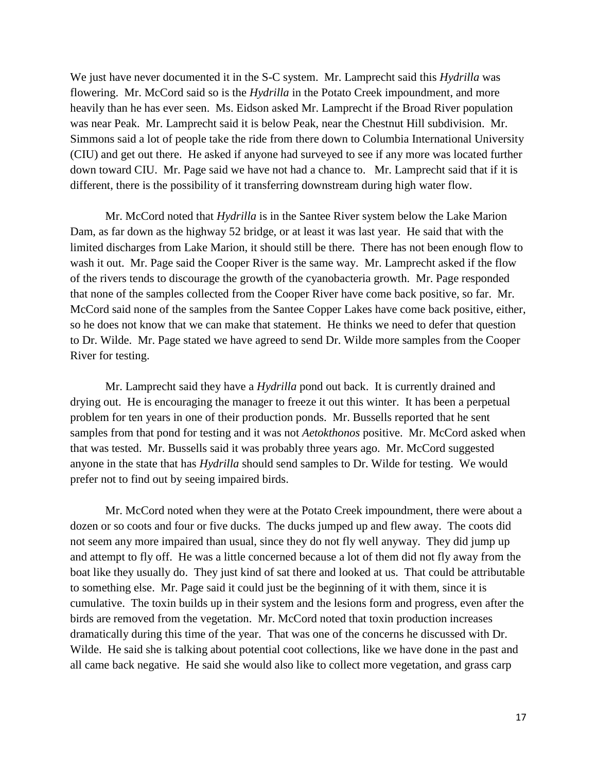We just have never documented it in the S-C system. Mr. Lamprecht said this *Hydrilla* was flowering. Mr. McCord said so is the *Hydrilla* in the Potato Creek impoundment, and more heavily than he has ever seen. Ms. Eidson asked Mr. Lamprecht if the Broad River population was near Peak. Mr. Lamprecht said it is below Peak, near the Chestnut Hill subdivision. Mr. Simmons said a lot of people take the ride from there down to Columbia International University (CIU) and get out there. He asked if anyone had surveyed to see if any more was located further down toward CIU. Mr. Page said we have not had a chance to. Mr. Lamprecht said that if it is different, there is the possibility of it transferring downstream during high water flow.

Mr. McCord noted that *Hydrilla* is in the Santee River system below the Lake Marion Dam, as far down as the highway 52 bridge, or at least it was last year. He said that with the limited discharges from Lake Marion, it should still be there. There has not been enough flow to wash it out. Mr. Page said the Cooper River is the same way. Mr. Lamprecht asked if the flow of the rivers tends to discourage the growth of the cyanobacteria growth. Mr. Page responded that none of the samples collected from the Cooper River have come back positive, so far. Mr. McCord said none of the samples from the Santee Copper Lakes have come back positive, either, so he does not know that we can make that statement. He thinks we need to defer that question to Dr. Wilde. Mr. Page stated we have agreed to send Dr. Wilde more samples from the Cooper River for testing.

Mr. Lamprecht said they have a *Hydrilla* pond out back. It is currently drained and drying out. He is encouraging the manager to freeze it out this winter. It has been a perpetual problem for ten years in one of their production ponds. Mr. Bussells reported that he sent samples from that pond for testing and it was not *Aetokthonos* positive. Mr. McCord asked when that was tested. Mr. Bussells said it was probably three years ago. Mr. McCord suggested anyone in the state that has *Hydrilla* should send samples to Dr. Wilde for testing. We would prefer not to find out by seeing impaired birds.

Mr. McCord noted when they were at the Potato Creek impoundment, there were about a dozen or so coots and four or five ducks. The ducks jumped up and flew away. The coots did not seem any more impaired than usual, since they do not fly well anyway. They did jump up and attempt to fly off. He was a little concerned because a lot of them did not fly away from the boat like they usually do. They just kind of sat there and looked at us. That could be attributable to something else. Mr. Page said it could just be the beginning of it with them, since it is cumulative. The toxin builds up in their system and the lesions form and progress, even after the birds are removed from the vegetation. Mr. McCord noted that toxin production increases dramatically during this time of the year. That was one of the concerns he discussed with Dr. Wilde. He said she is talking about potential coot collections, like we have done in the past and all came back negative. He said she would also like to collect more vegetation, and grass carp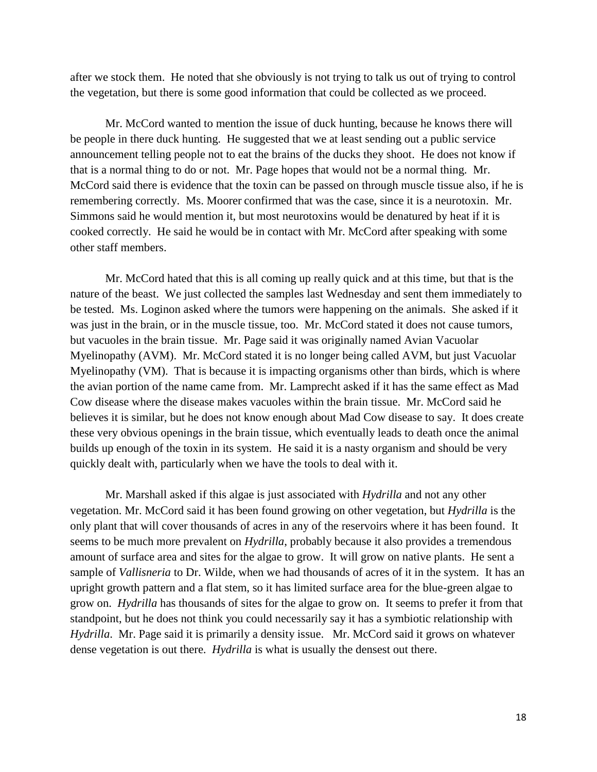after we stock them. He noted that she obviously is not trying to talk us out of trying to control the vegetation, but there is some good information that could be collected as we proceed.

Mr. McCord wanted to mention the issue of duck hunting, because he knows there will be people in there duck hunting. He suggested that we at least sending out a public service announcement telling people not to eat the brains of the ducks they shoot. He does not know if that is a normal thing to do or not. Mr. Page hopes that would not be a normal thing. Mr. McCord said there is evidence that the toxin can be passed on through muscle tissue also, if he is remembering correctly. Ms. Moorer confirmed that was the case, since it is a neurotoxin. Mr. Simmons said he would mention it, but most neurotoxins would be denatured by heat if it is cooked correctly. He said he would be in contact with Mr. McCord after speaking with some other staff members.

Mr. McCord hated that this is all coming up really quick and at this time, but that is the nature of the beast. We just collected the samples last Wednesday and sent them immediately to be tested. Ms. Loginon asked where the tumors were happening on the animals. She asked if it was just in the brain, or in the muscle tissue, too. Mr. McCord stated it does not cause tumors, but vacuoles in the brain tissue. Mr. Page said it was originally named Avian Vacuolar Myelinopathy (AVM). Mr. McCord stated it is no longer being called AVM, but just Vacuolar Myelinopathy (VM). That is because it is impacting organisms other than birds, which is where the avian portion of the name came from. Mr. Lamprecht asked if it has the same effect as Mad Cow disease where the disease makes vacuoles within the brain tissue. Mr. McCord said he believes it is similar, but he does not know enough about Mad Cow disease to say. It does create these very obvious openings in the brain tissue, which eventually leads to death once the animal builds up enough of the toxin in its system. He said it is a nasty organism and should be very quickly dealt with, particularly when we have the tools to deal with it.

Mr. Marshall asked if this algae is just associated with *Hydrilla* and not any other vegetation. Mr. McCord said it has been found growing on other vegetation, but *Hydrilla* is the only plant that will cover thousands of acres in any of the reservoirs where it has been found. It seems to be much more prevalent on *Hydrilla*, probably because it also provides a tremendous amount of surface area and sites for the algae to grow. It will grow on native plants. He sent a sample of *Vallisneria* to Dr. Wilde, when we had thousands of acres of it in the system. It has an upright growth pattern and a flat stem, so it has limited surface area for the blue-green algae to grow on. *Hydrilla* has thousands of sites for the algae to grow on. It seems to prefer it from that standpoint, but he does not think you could necessarily say it has a symbiotic relationship with *Hydrilla*. Mr. Page said it is primarily a density issue. Mr. McCord said it grows on whatever dense vegetation is out there. *Hydrilla* is what is usually the densest out there.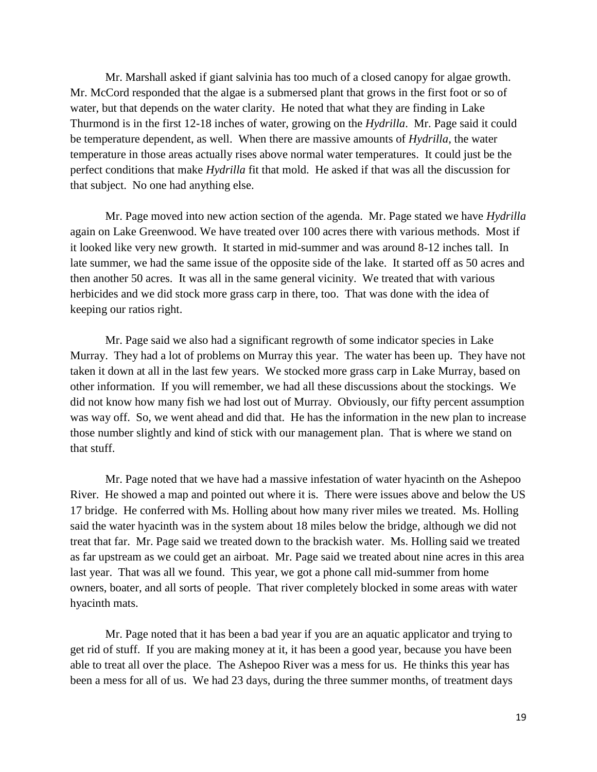Mr. Marshall asked if giant salvinia has too much of a closed canopy for algae growth. Mr. McCord responded that the algae is a submersed plant that grows in the first foot or so of water, but that depends on the water clarity. He noted that what they are finding in Lake Thurmond is in the first 12-18 inches of water, growing on the *Hydrilla*. Mr. Page said it could be temperature dependent, as well. When there are massive amounts of *Hydrilla*, the water temperature in those areas actually rises above normal water temperatures. It could just be the perfect conditions that make *Hydrilla* fit that mold. He asked if that was all the discussion for that subject. No one had anything else.

Mr. Page moved into new action section of the agenda. Mr. Page stated we have *Hydrilla* again on Lake Greenwood. We have treated over 100 acres there with various methods. Most if it looked like very new growth. It started in mid-summer and was around 8-12 inches tall. In late summer, we had the same issue of the opposite side of the lake. It started off as 50 acres and then another 50 acres. It was all in the same general vicinity. We treated that with various herbicides and we did stock more grass carp in there, too. That was done with the idea of keeping our ratios right.

Mr. Page said we also had a significant regrowth of some indicator species in Lake Murray. They had a lot of problems on Murray this year. The water has been up. They have not taken it down at all in the last few years. We stocked more grass carp in Lake Murray, based on other information. If you will remember, we had all these discussions about the stockings. We did not know how many fish we had lost out of Murray. Obviously, our fifty percent assumption was way off. So, we went ahead and did that. He has the information in the new plan to increase those number slightly and kind of stick with our management plan. That is where we stand on that stuff.

Mr. Page noted that we have had a massive infestation of water hyacinth on the Ashepoo River. He showed a map and pointed out where it is. There were issues above and below the US 17 bridge. He conferred with Ms. Holling about how many river miles we treated. Ms. Holling said the water hyacinth was in the system about 18 miles below the bridge, although we did not treat that far. Mr. Page said we treated down to the brackish water. Ms. Holling said we treated as far upstream as we could get an airboat. Mr. Page said we treated about nine acres in this area last year. That was all we found. This year, we got a phone call mid-summer from home owners, boater, and all sorts of people. That river completely blocked in some areas with water hyacinth mats.

Mr. Page noted that it has been a bad year if you are an aquatic applicator and trying to get rid of stuff. If you are making money at it, it has been a good year, because you have been able to treat all over the place. The Ashepoo River was a mess for us. He thinks this year has been a mess for all of us. We had 23 days, during the three summer months, of treatment days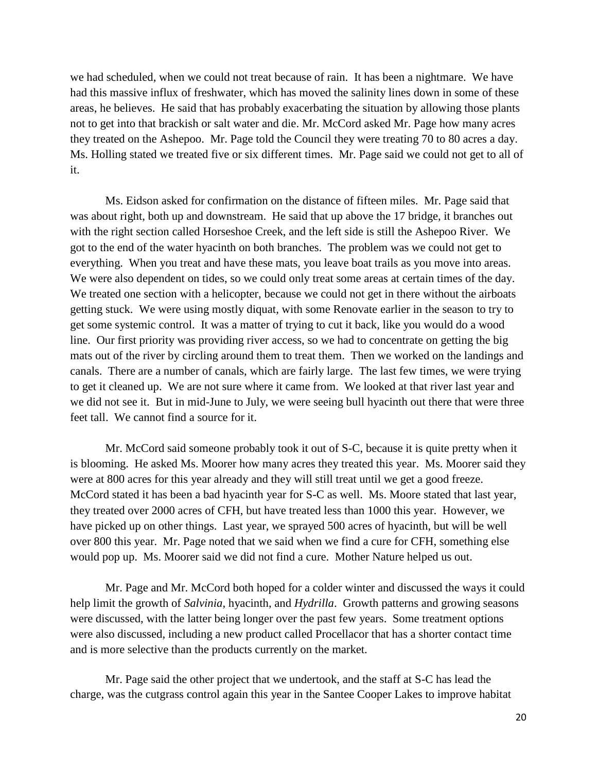we had scheduled, when we could not treat because of rain. It has been a nightmare. We have had this massive influx of freshwater, which has moved the salinity lines down in some of these areas, he believes. He said that has probably exacerbating the situation by allowing those plants not to get into that brackish or salt water and die. Mr. McCord asked Mr. Page how many acres they treated on the Ashepoo. Mr. Page told the Council they were treating 70 to 80 acres a day. Ms. Holling stated we treated five or six different times. Mr. Page said we could not get to all of it.

Ms. Eidson asked for confirmation on the distance of fifteen miles. Mr. Page said that was about right, both up and downstream. He said that up above the 17 bridge, it branches out with the right section called Horseshoe Creek, and the left side is still the Ashepoo River. We got to the end of the water hyacinth on both branches. The problem was we could not get to everything. When you treat and have these mats, you leave boat trails as you move into areas. We were also dependent on tides, so we could only treat some areas at certain times of the day. We treated one section with a helicopter, because we could not get in there without the airboats getting stuck. We were using mostly diquat, with some Renovate earlier in the season to try to get some systemic control. It was a matter of trying to cut it back, like you would do a wood line. Our first priority was providing river access, so we had to concentrate on getting the big mats out of the river by circling around them to treat them. Then we worked on the landings and canals. There are a number of canals, which are fairly large. The last few times, we were trying to get it cleaned up. We are not sure where it came from. We looked at that river last year and we did not see it. But in mid-June to July, we were seeing bull hyacinth out there that were three feet tall. We cannot find a source for it.

Mr. McCord said someone probably took it out of S-C, because it is quite pretty when it is blooming. He asked Ms. Moorer how many acres they treated this year. Ms. Moorer said they were at 800 acres for this year already and they will still treat until we get a good freeze. McCord stated it has been a bad hyacinth year for S-C as well. Ms. Moore stated that last year, they treated over 2000 acres of CFH, but have treated less than 1000 this year. However, we have picked up on other things. Last year, we sprayed 500 acres of hyacinth, but will be well over 800 this year. Mr. Page noted that we said when we find a cure for CFH, something else would pop up. Ms. Moorer said we did not find a cure. Mother Nature helped us out.

Mr. Page and Mr. McCord both hoped for a colder winter and discussed the ways it could help limit the growth of *Salvinia*, hyacinth, and *Hydrilla*. Growth patterns and growing seasons were discussed, with the latter being longer over the past few years. Some treatment options were also discussed, including a new product called Procellacor that has a shorter contact time and is more selective than the products currently on the market.

Mr. Page said the other project that we undertook, and the staff at S-C has lead the charge, was the cutgrass control again this year in the Santee Cooper Lakes to improve habitat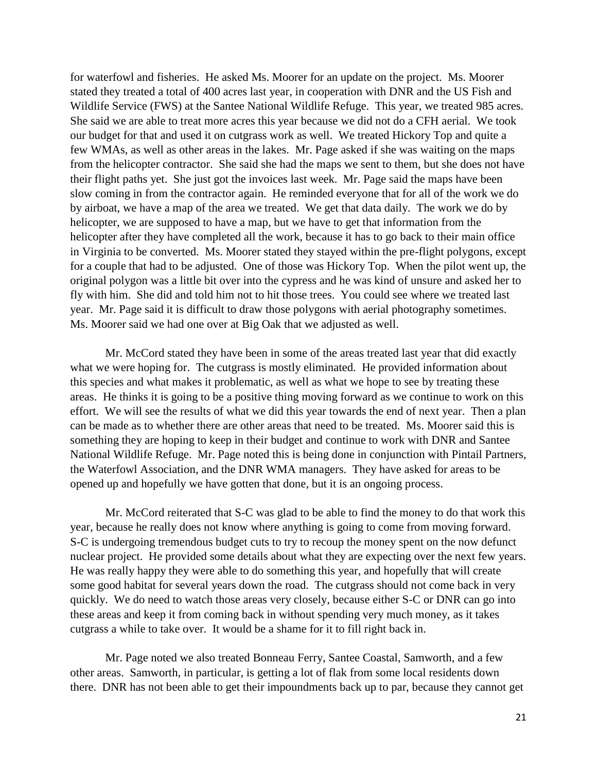for waterfowl and fisheries. He asked Ms. Moorer for an update on the project. Ms. Moorer stated they treated a total of 400 acres last year, in cooperation with DNR and the US Fish and Wildlife Service (FWS) at the Santee National Wildlife Refuge. This year, we treated 985 acres. She said we are able to treat more acres this year because we did not do a CFH aerial. We took our budget for that and used it on cutgrass work as well. We treated Hickory Top and quite a few WMAs, as well as other areas in the lakes. Mr. Page asked if she was waiting on the maps from the helicopter contractor. She said she had the maps we sent to them, but she does not have their flight paths yet. She just got the invoices last week. Mr. Page said the maps have been slow coming in from the contractor again. He reminded everyone that for all of the work we do by airboat, we have a map of the area we treated. We get that data daily. The work we do by helicopter, we are supposed to have a map, but we have to get that information from the helicopter after they have completed all the work, because it has to go back to their main office in Virginia to be converted. Ms. Moorer stated they stayed within the pre-flight polygons, except for a couple that had to be adjusted. One of those was Hickory Top. When the pilot went up, the original polygon was a little bit over into the cypress and he was kind of unsure and asked her to fly with him. She did and told him not to hit those trees. You could see where we treated last year. Mr. Page said it is difficult to draw those polygons with aerial photography sometimes. Ms. Moorer said we had one over at Big Oak that we adjusted as well.

Mr. McCord stated they have been in some of the areas treated last year that did exactly what we were hoping for. The cutgrass is mostly eliminated. He provided information about this species and what makes it problematic, as well as what we hope to see by treating these areas. He thinks it is going to be a positive thing moving forward as we continue to work on this effort. We will see the results of what we did this year towards the end of next year. Then a plan can be made as to whether there are other areas that need to be treated. Ms. Moorer said this is something they are hoping to keep in their budget and continue to work with DNR and Santee National Wildlife Refuge. Mr. Page noted this is being done in conjunction with Pintail Partners, the Waterfowl Association, and the DNR WMA managers. They have asked for areas to be opened up and hopefully we have gotten that done, but it is an ongoing process.

Mr. McCord reiterated that S-C was glad to be able to find the money to do that work this year, because he really does not know where anything is going to come from moving forward. S-C is undergoing tremendous budget cuts to try to recoup the money spent on the now defunct nuclear project. He provided some details about what they are expecting over the next few years. He was really happy they were able to do something this year, and hopefully that will create some good habitat for several years down the road. The cutgrass should not come back in very quickly. We do need to watch those areas very closely, because either S-C or DNR can go into these areas and keep it from coming back in without spending very much money, as it takes cutgrass a while to take over. It would be a shame for it to fill right back in.

Mr. Page noted we also treated Bonneau Ferry, Santee Coastal, Samworth, and a few other areas. Samworth, in particular, is getting a lot of flak from some local residents down there. DNR has not been able to get their impoundments back up to par, because they cannot get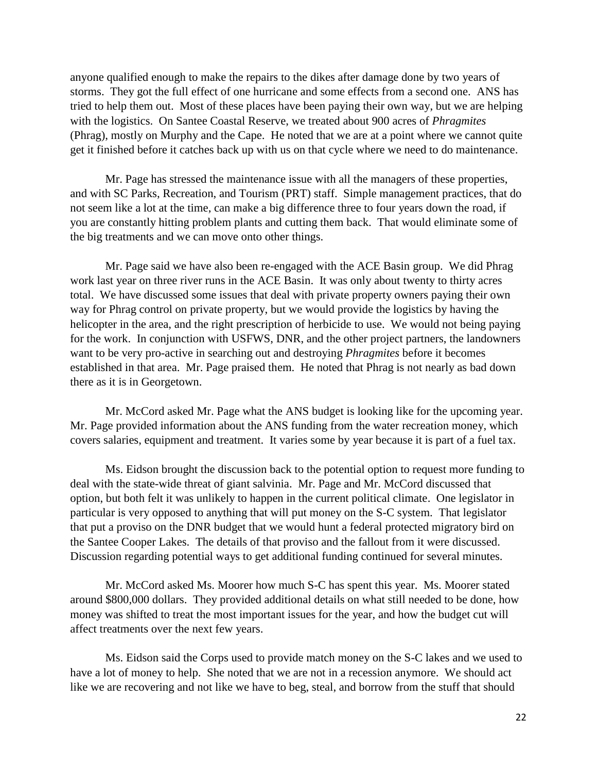anyone qualified enough to make the repairs to the dikes after damage done by two years of storms. They got the full effect of one hurricane and some effects from a second one. ANS has tried to help them out. Most of these places have been paying their own way, but we are helping with the logistics. On Santee Coastal Reserve, we treated about 900 acres of *Phragmites* (Phrag), mostly on Murphy and the Cape. He noted that we are at a point where we cannot quite get it finished before it catches back up with us on that cycle where we need to do maintenance.

Mr. Page has stressed the maintenance issue with all the managers of these properties, and with SC Parks, Recreation, and Tourism (PRT) staff. Simple management practices, that do not seem like a lot at the time, can make a big difference three to four years down the road, if you are constantly hitting problem plants and cutting them back. That would eliminate some of the big treatments and we can move onto other things.

Mr. Page said we have also been re-engaged with the ACE Basin group. We did Phrag work last year on three river runs in the ACE Basin. It was only about twenty to thirty acres total. We have discussed some issues that deal with private property owners paying their own way for Phrag control on private property, but we would provide the logistics by having the helicopter in the area, and the right prescription of herbicide to use. We would not being paying for the work. In conjunction with USFWS, DNR, and the other project partners, the landowners want to be very pro-active in searching out and destroying *Phragmites* before it becomes established in that area. Mr. Page praised them. He noted that Phrag is not nearly as bad down there as it is in Georgetown.

Mr. McCord asked Mr. Page what the ANS budget is looking like for the upcoming year. Mr. Page provided information about the ANS funding from the water recreation money, which covers salaries, equipment and treatment. It varies some by year because it is part of a fuel tax.

Ms. Eidson brought the discussion back to the potential option to request more funding to deal with the state-wide threat of giant salvinia. Mr. Page and Mr. McCord discussed that option, but both felt it was unlikely to happen in the current political climate. One legislator in particular is very opposed to anything that will put money on the S-C system. That legislator that put a proviso on the DNR budget that we would hunt a federal protected migratory bird on the Santee Cooper Lakes. The details of that proviso and the fallout from it were discussed. Discussion regarding potential ways to get additional funding continued for several minutes.

Mr. McCord asked Ms. Moorer how much S-C has spent this year. Ms. Moorer stated around \$800,000 dollars. They provided additional details on what still needed to be done, how money was shifted to treat the most important issues for the year, and how the budget cut will affect treatments over the next few years.

Ms. Eidson said the Corps used to provide match money on the S-C lakes and we used to have a lot of money to help. She noted that we are not in a recession anymore. We should act like we are recovering and not like we have to beg, steal, and borrow from the stuff that should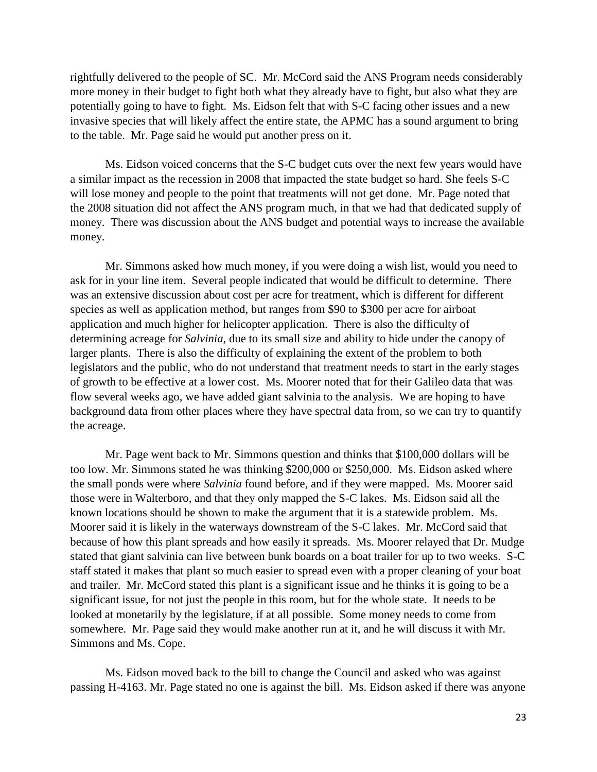rightfully delivered to the people of SC. Mr. McCord said the ANS Program needs considerably more money in their budget to fight both what they already have to fight, but also what they are potentially going to have to fight. Ms. Eidson felt that with S-C facing other issues and a new invasive species that will likely affect the entire state, the APMC has a sound argument to bring to the table. Mr. Page said he would put another press on it.

Ms. Eidson voiced concerns that the S-C budget cuts over the next few years would have a similar impact as the recession in 2008 that impacted the state budget so hard. She feels S-C will lose money and people to the point that treatments will not get done. Mr. Page noted that the 2008 situation did not affect the ANS program much, in that we had that dedicated supply of money. There was discussion about the ANS budget and potential ways to increase the available money.

Mr. Simmons asked how much money, if you were doing a wish list, would you need to ask for in your line item. Several people indicated that would be difficult to determine. There was an extensive discussion about cost per acre for treatment, which is different for different species as well as application method, but ranges from \$90 to \$300 per acre for airboat application and much higher for helicopter application. There is also the difficulty of determining acreage for *Salvinia*, due to its small size and ability to hide under the canopy of larger plants. There is also the difficulty of explaining the extent of the problem to both legislators and the public, who do not understand that treatment needs to start in the early stages of growth to be effective at a lower cost. Ms. Moorer noted that for their Galileo data that was flow several weeks ago, we have added giant salvinia to the analysis. We are hoping to have background data from other places where they have spectral data from, so we can try to quantify the acreage.

Mr. Page went back to Mr. Simmons question and thinks that \$100,000 dollars will be too low. Mr. Simmons stated he was thinking \$200,000 or \$250,000. Ms. Eidson asked where the small ponds were where *Salvinia* found before, and if they were mapped. Ms. Moorer said those were in Walterboro, and that they only mapped the S-C lakes. Ms. Eidson said all the known locations should be shown to make the argument that it is a statewide problem. Ms. Moorer said it is likely in the waterways downstream of the S-C lakes. Mr. McCord said that because of how this plant spreads and how easily it spreads. Ms. Moorer relayed that Dr. Mudge stated that giant salvinia can live between bunk boards on a boat trailer for up to two weeks. S-C staff stated it makes that plant so much easier to spread even with a proper cleaning of your boat and trailer. Mr. McCord stated this plant is a significant issue and he thinks it is going to be a significant issue, for not just the people in this room, but for the whole state. It needs to be looked at monetarily by the legislature, if at all possible. Some money needs to come from somewhere. Mr. Page said they would make another run at it, and he will discuss it with Mr. Simmons and Ms. Cope.

Ms. Eidson moved back to the bill to change the Council and asked who was against passing H-4163. Mr. Page stated no one is against the bill. Ms. Eidson asked if there was anyone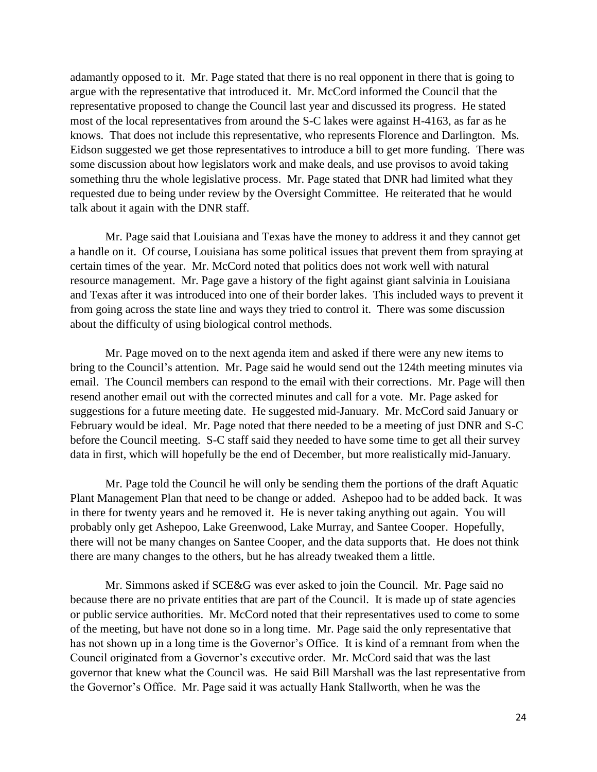adamantly opposed to it. Mr. Page stated that there is no real opponent in there that is going to argue with the representative that introduced it. Mr. McCord informed the Council that the representative proposed to change the Council last year and discussed its progress. He stated most of the local representatives from around the S-C lakes were against H-4163, as far as he knows. That does not include this representative, who represents Florence and Darlington. Ms. Eidson suggested we get those representatives to introduce a bill to get more funding. There was some discussion about how legislators work and make deals, and use provisos to avoid taking something thru the whole legislative process. Mr. Page stated that DNR had limited what they requested due to being under review by the Oversight Committee. He reiterated that he would talk about it again with the DNR staff.

Mr. Page said that Louisiana and Texas have the money to address it and they cannot get a handle on it. Of course, Louisiana has some political issues that prevent them from spraying at certain times of the year. Mr. McCord noted that politics does not work well with natural resource management. Mr. Page gave a history of the fight against giant salvinia in Louisiana and Texas after it was introduced into one of their border lakes. This included ways to prevent it from going across the state line and ways they tried to control it. There was some discussion about the difficulty of using biological control methods.

Mr. Page moved on to the next agenda item and asked if there were any new items to bring to the Council's attention. Mr. Page said he would send out the 124th meeting minutes via email. The Council members can respond to the email with their corrections. Mr. Page will then resend another email out with the corrected minutes and call for a vote. Mr. Page asked for suggestions for a future meeting date. He suggested mid-January. Mr. McCord said January or February would be ideal. Mr. Page noted that there needed to be a meeting of just DNR and S-C before the Council meeting. S-C staff said they needed to have some time to get all their survey data in first, which will hopefully be the end of December, but more realistically mid-January.

Mr. Page told the Council he will only be sending them the portions of the draft Aquatic Plant Management Plan that need to be change or added. Ashepoo had to be added back. It was in there for twenty years and he removed it. He is never taking anything out again. You will probably only get Ashepoo, Lake Greenwood, Lake Murray, and Santee Cooper. Hopefully, there will not be many changes on Santee Cooper, and the data supports that. He does not think there are many changes to the others, but he has already tweaked them a little.

Mr. Simmons asked if SCE&G was ever asked to join the Council. Mr. Page said no because there are no private entities that are part of the Council. It is made up of state agencies or public service authorities. Mr. McCord noted that their representatives used to come to some of the meeting, but have not done so in a long time. Mr. Page said the only representative that has not shown up in a long time is the Governor's Office. It is kind of a remnant from when the Council originated from a Governor's executive order. Mr. McCord said that was the last governor that knew what the Council was. He said Bill Marshall was the last representative from the Governor's Office. Mr. Page said it was actually Hank Stallworth, when he was the